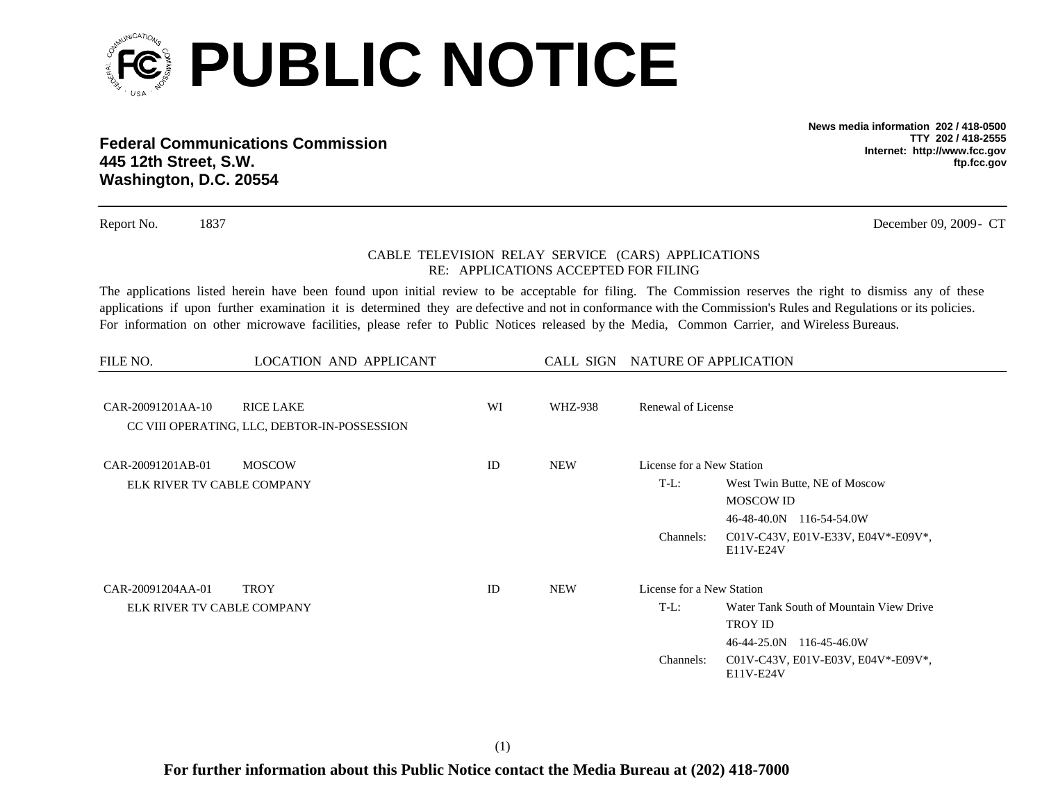

**Federal Communications Commission445 12th Street, S.W. Washington, D.C. 20554**

**News media information 202 / 418-0500TTY 202 / 418-2555Internet: http://www.fcc.gov ftp.fcc.gov**

Report No. 1837 December 09, 2009 - CT

## CABLE TELEVISION RELAY SERVICE (CARS) APPLICATIONS RE: APPLICATIONS ACCEPTED FOR FILING

The applications listed herein have been found upon initial review to be acceptable for filing. The Commission reserves the right to dismiss any of these applications if upon further examination it is determined they are defective and not in conformance with the Commission's Rules and Regulations or its policies. For information on other microwave facilities, please refer to Public Notices released by the Media, Common Carrier, and Wireless Bureaus.

| FILE NO.                   | LOCATION AND APPLICANT<br>CALL SIGN NATURE OF APPLICATION        |    |            |                           |                                                 |  |
|----------------------------|------------------------------------------------------------------|----|------------|---------------------------|-------------------------------------------------|--|
| CAR-20091201AA-10          | <b>RICE LAKE</b><br>CC VIII OPERATING, LLC, DEBTOR-IN-POSSESSION | WI | WHZ-938    | Renewal of License        |                                                 |  |
| CAR-20091201AB-01          | <b>MOSCOW</b>                                                    | ID | <b>NEW</b> | License for a New Station |                                                 |  |
| ELK RIVER TV CABLE COMPANY |                                                                  |    |            | $T-L$ :                   | West Twin Butte, NE of Moscow                   |  |
|                            |                                                                  |    |            |                           | <b>MOSCOW ID</b>                                |  |
|                            |                                                                  |    |            |                           | 46-48-40.0N 116-54-54.0W                        |  |
|                            |                                                                  |    |            | Channels:                 | C01V-C43V, E01V-E33V, E04V*-E09V*,<br>E11V-E24V |  |
| CAR-20091204AA-01          | <b>TROY</b>                                                      | ID | <b>NEW</b> | License for a New Station |                                                 |  |
| ELK RIVER TV CABLE COMPANY |                                                                  |    |            | $T-L$ :                   | Water Tank South of Mountain View Drive         |  |
|                            |                                                                  |    |            |                           | <b>TROY ID</b>                                  |  |
|                            |                                                                  |    |            |                           | 46-44-25.0N<br>116-45-46.0W                     |  |
|                            |                                                                  |    |            | Channels:                 | C01V-C43V, E01V-E03V, E04V*-E09V*,<br>E11V-E24V |  |

(1)

**For further information about this Public Notice contact the Media Bureau at (202) 418-7000**